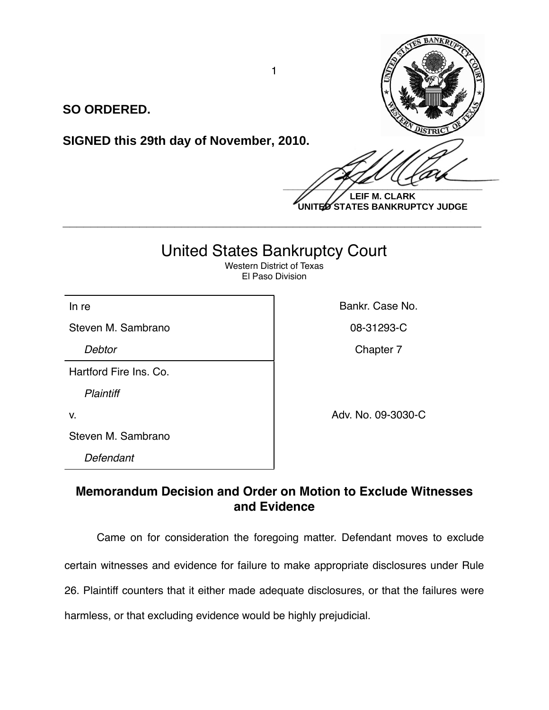

**SO ORDERED.**

**SIGNED this 29th day of November, 2010.**

**LEIF M. CLARK UNITED STATES BANKRUPTCY JUDGE**

# United States Bankruptcy Court

**\_\_\_\_\_\_\_\_\_\_\_\_\_\_\_\_\_\_\_\_\_\_\_\_\_\_\_\_\_\_\_\_\_\_\_\_\_\_\_\_\_\_\_\_\_\_\_\_\_\_\_\_\_\_\_\_\_\_\_\_**

Western District of Texas El Paso Division

Steven M. Sambrano **08-31293-C** 

Hartford Fire Ins. Co.

*Plaintiff*

Steven M. Sambrano

*Defendant*

In re **Bankr.** Case No.

**Debtor** Chapter 7

v. Adv. No. 09-3030-C

**Memorandum Decision and Order on Motion to Exclude Witnesses and Evidence**

Came on for consideration the foregoing matter. Defendant moves to exclude certain witnesses and evidence for failure to make appropriate disclosures under Rule 26. Plaintiff counters that it either made adequate disclosures, or that the failures were harmless, or that excluding evidence would be highly prejudicial.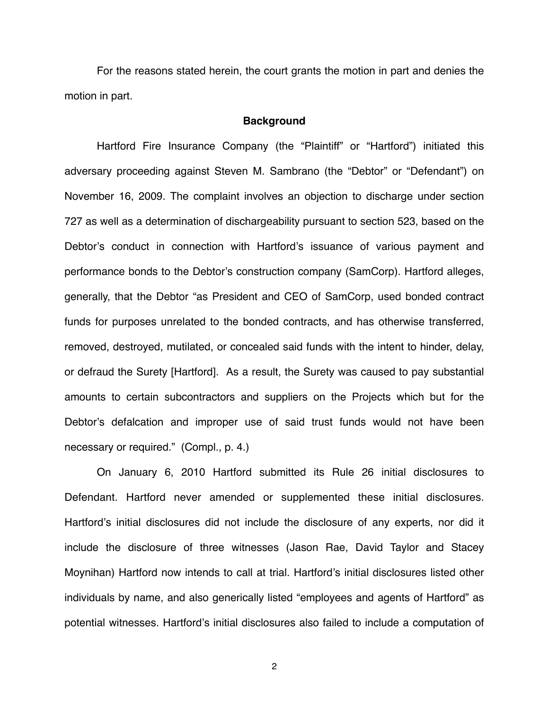For the reasons stated herein, the court grants the motion in part and denies the motion in part.

#### **Background**

Hartford Fire Insurance Company (the "Plaintiff" or "Hartford") initiated this adversary proceeding against Steven M. Sambrano (the "Debtor" or "Defendant") on November 16, 2009. The complaint involves an objection to discharge under section 727 as well as a determination of dischargeability pursuant to section 523, based on the Debtor's conduct in connection with Hartford's issuance of various payment and performance bonds to the Debtor's construction company (SamCorp). Hartford alleges, generally, that the Debtor "as President and CEO of SamCorp, used bonded contract funds for purposes unrelated to the bonded contracts, and has otherwise transferred, removed, destroyed, mutilated, or concealed said funds with the intent to hinder, delay, or defraud the Surety [Hartford]. As a result, the Surety was caused to pay substantial amounts to certain subcontractors and suppliers on the Projects which but for the Debtor's defalcation and improper use of said trust funds would not have been necessary or required." (Compl., p. 4.)

On January 6, 2010 Hartford submitted its Rule 26 initial disclosures to Defendant. Hartford never amended or supplemented these initial disclosures. Hartford's initial disclosures did not include the disclosure of any experts, nor did it include the disclosure of three witnesses (Jason Rae, David Taylor and Stacey Moynihan) Hartford now intends to call at trial. Hartford's initial disclosures listed other individuals by name, and also generically listed "employees and agents of Hartford" as potential witnesses. Hartford's initial disclosures also failed to include a computation of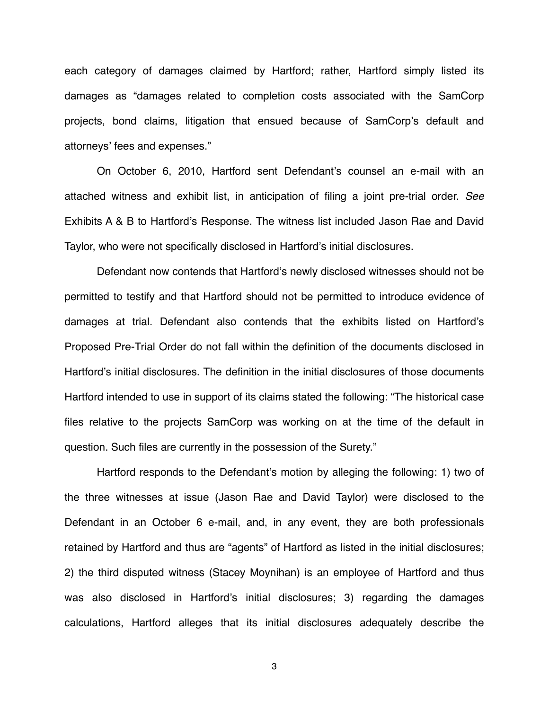each category of damages claimed by Hartford; rather, Hartford simply listed its damages as "damages related to completion costs associated with the SamCorp projects, bond claims, litigation that ensued because of SamCorp's default and attorneys' fees and expenses."

On October 6, 2010, Hartford sent Defendant's counsel an e-mail with an attached witness and exhibit list, in anticipation of filing a joint pre-trial order. *See* Exhibits A & B to Hartford's Response. The witness list included Jason Rae and David Taylor, who were not specifically disclosed in Hartford's initial disclosures.

Defendant now contends that Hartford's newly disclosed witnesses should not be permitted to testify and that Hartford should not be permitted to introduce evidence of damages at trial. Defendant also contends that the exhibits listed on Hartford's Proposed Pre-Trial Order do not fall within the definition of the documents disclosed in Hartford's initial disclosures. The definition in the initial disclosures of those documents Hartford intended to use in support of its claims stated the following: "The historical case files relative to the projects SamCorp was working on at the time of the default in question. Such files are currently in the possession of the Surety."

Hartford responds to the Defendant's motion by alleging the following: 1) two of the three witnesses at issue (Jason Rae and David Taylor) were disclosed to the Defendant in an October 6 e-mail, and, in any event, they are both professionals retained by Hartford and thus are "agents" of Hartford as listed in the initial disclosures; 2) the third disputed witness (Stacey Moynihan) is an employee of Hartford and thus was also disclosed in Hartford's initial disclosures; 3) regarding the damages calculations, Hartford alleges that its initial disclosures adequately describe the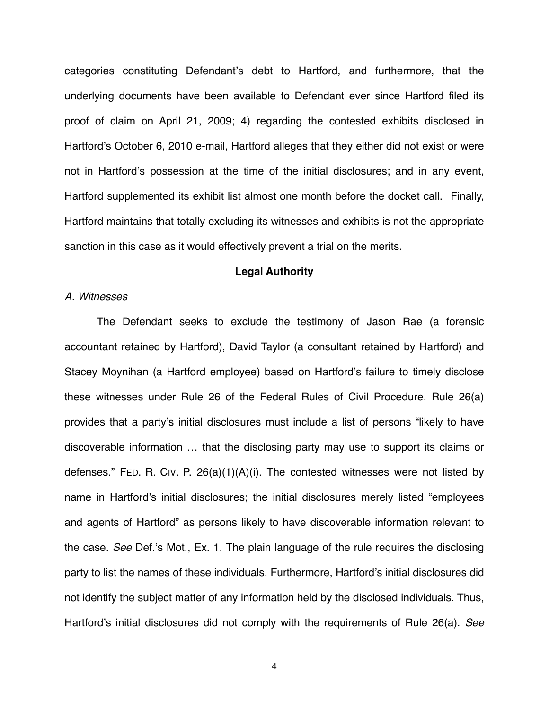categories constituting Defendant's debt to Hartford, and furthermore, that the underlying documents have been available to Defendant ever since Hartford filed its proof of claim on April 21, 2009; 4) regarding the contested exhibits disclosed in Hartford's October 6, 2010 e-mail, Hartford alleges that they either did not exist or were not in Hartford's possession at the time of the initial disclosures; and in any event, Hartford supplemented its exhibit list almost one month before the docket call. Finally, Hartford maintains that totally excluding its witnesses and exhibits is not the appropriate sanction in this case as it would effectively prevent a trial on the merits.

## **Legal Authority**

## *A. Witnesses*

The Defendant seeks to exclude the testimony of Jason Rae (a forensic accountant retained by Hartford), David Taylor (a consultant retained by Hartford) and Stacey Moynihan (a Hartford employee) based on Hartford's failure to timely disclose these witnesses under Rule 26 of the Federal Rules of Civil Procedure. Rule 26(a) provides that a party's initial disclosures must include a list of persons "likely to have discoverable information … that the disclosing party may use to support its claims or defenses." FED. R. CIV. P. 26(a)(1)(A)(i). The contested witnesses were not listed by name in Hartford's initial disclosures; the initial disclosures merely listed "employees and agents of Hartford" as persons likely to have discoverable information relevant to the case. *See* Def.'s Mot., Ex. 1. The plain language of the rule requires the disclosing party to list the names of these individuals. Furthermore, Hartford's initial disclosures did not identify the subject matter of any information held by the disclosed individuals. Thus, Hartford's initial disclosures did not comply with the requirements of Rule 26(a). *See*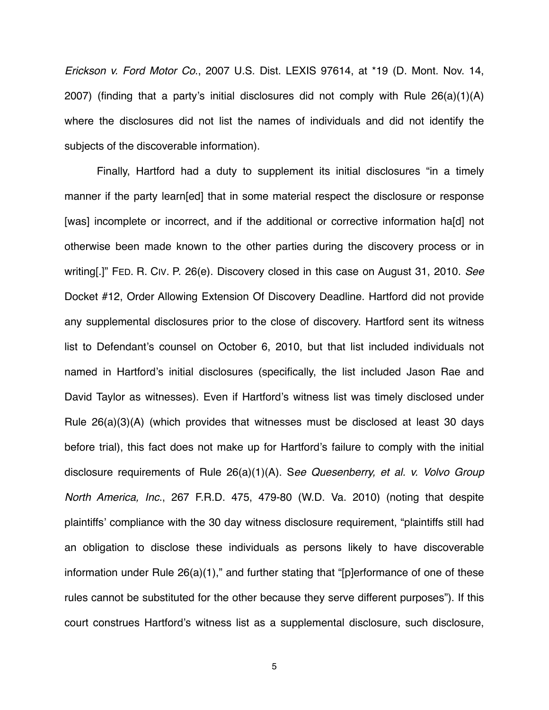*Erickson v. Ford Motor Co*., 2007 U.S. Dist. LEXIS 97614, at \*19 (D. Mont. Nov. 14, 2007) (finding that a party's initial disclosures did not comply with Rule 26(a)(1)(A) where the disclosures did not list the names of individuals and did not identify the subjects of the discoverable information).

Finally, Hartford had a duty to supplement its initial disclosures "in a timely manner if the party learn[ed] that in some material respect the disclosure or response [was] incomplete or incorrect, and if the additional or corrective information ha[d] not otherwise been made known to the other parties during the discovery process or in writing[.]" FED. R. CIV. P. 26(e). Discovery closed in this case on August 31, 2010. *See* Docket #12, Order Allowing Extension Of Discovery Deadline. Hartford did not provide any supplemental disclosures prior to the close of discovery. Hartford sent its witness list to Defendant's counsel on October 6, 2010, but that list included individuals not named in Hartford's initial disclosures (specifically, the list included Jason Rae and David Taylor as witnesses). Even if Hartford's witness list was timely disclosed under Rule 26(a)(3)(A) (which provides that witnesses must be disclosed at least 30 days before trial), this fact does not make up for Hartford's failure to comply with the initial disclosure requirements of Rule 26(a)(1)(A). S*ee Quesenberry, et al. v. Volvo Group North America, Inc*., 267 F.R.D. 475, 479-80 (W.D. Va. 2010) (noting that despite plaintiffs' compliance with the 30 day witness disclosure requirement, "plaintiffs still had an obligation to disclose these individuals as persons likely to have discoverable information under Rule 26(a)(1)," and further stating that "[p]erformance of one of these rules cannot be substituted for the other because they serve different purposes"). If this court construes Hartford's witness list as a supplemental disclosure, such disclosure,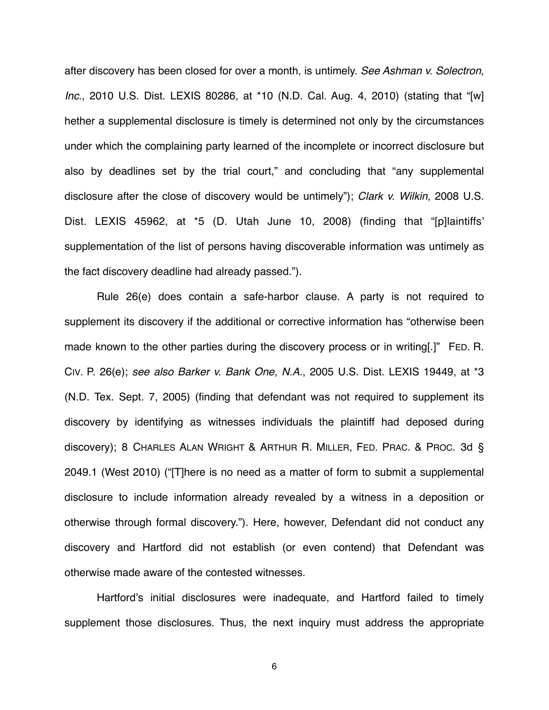after discovery has been closed for over a month, is untimely. *See Ashman v. Solectron, Inc*., 2010 U.S. Dist. LEXIS 80286, at \*10 (N.D. Cal. Aug. 4, 2010) (stating that "[w] hether a supplemental disclosure is timely is determined not only by the circumstances under which the complaining party learned of the incomplete or incorrect disclosure but also by deadlines set by the trial court," and concluding that "any supplemental disclosure after the close of discovery would be untimely"); *Clark v. Wilkin*, 2008 U.S. Dist. LEXIS 45962, at \*5 (D. Utah June 10, 2008) (finding that "[p]laintiffs' supplementation of the list of persons having discoverable information was untimely as the fact discovery deadline had already passed.").

Rule 26(e) does contain a safe-harbor clause. A party is not required to supplement its discovery if the additional or corrective information has "otherwise been made known to the other parties during the discovery process or in writing[.]" FED. R. CIV. P. 26(e); *see also Barker v. Bank One, N.A.*, 2005 U.S. Dist. LEXIS 19449, at \*3 (N.D. Tex. Sept. 7, 2005) (finding that defendant was not required to supplement its discovery by identifying as witnesses individuals the plaintiff had deposed during discovery); 8 CHARLES ALAN WRIGHT & ARTHUR R. MILLER, FED. PRAC. & PROC. 3d § 2049.1 (West 2010) ("[T]here is no need as a matter of form to submit a supplemental disclosure to include information already revealed by a witness in a deposition or otherwise through formal discovery."). Here, however, Defendant did not conduct any discovery and Hartford did not establish (or even contend) that Defendant was otherwise made aware of the contested witnesses.

Hartford's initial disclosures were inadequate, and Hartford failed to timely supplement those disclosures. Thus, the next inquiry must address the appropriate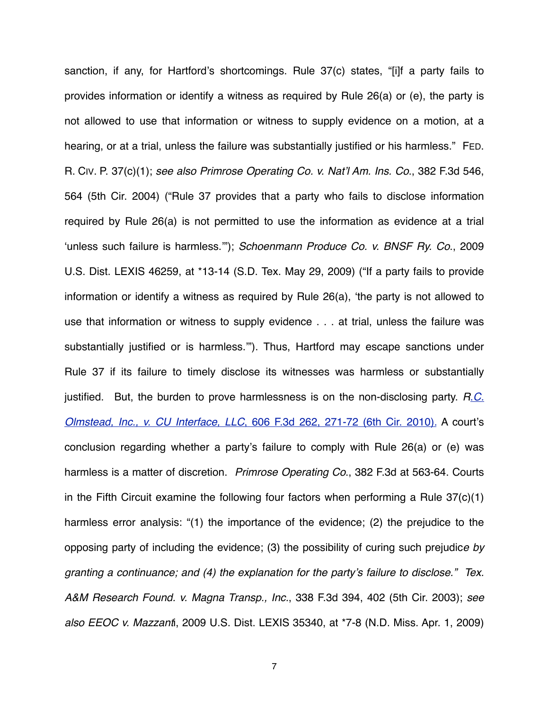sanction, if any, for Hartford's shortcomings. Rule 37(c) states, "[i]f a party fails to provides information or identify a witness as required by Rule 26(a) or (e), the party is not allowed to use that information or witness to supply evidence on a motion, at a hearing, or at a trial, unless the failure was substantially justified or his harmless." FED. R. CIV. P. 37(c)(1); *see also Primrose Operating Co. v. Nat*'*l Am. Ins. Co*., 382 F.3d 546, 564 (5th Cir. 2004) ("Rule 37 provides that a party who fails to disclose information required by Rule 26(a) is not permitted to use the information as evidence at a trial ʻunless such failure is harmless.'"); *Schoenmann Produce Co. v. BNSF Ry. Co*., 2009 U.S. Dist. LEXIS 46259, at \*13-14 (S.D. Tex. May 29, 2009) ("If a party fails to provide information or identify a witness as required by Rule 26(a), ʻthe party is not allowed to use that information or witness to supply evidence . . . at trial, unless the failure was substantially justified or is harmless.'"). Thus, Hartford may escape sanctions under Rule 37 if its failure to timely disclose its witnesses was harmless or substantially justified. But, the burden to prove harmlessness is on the non-disclosing party. *R*.*[C.](https://www.lexis.com/research/buttonTFLink?_m=2db204e509442cb123a71dacdace11c3&_xfercite=%3ccite%20cc%3d%22USA%22%3e%3c%21%5bCDATA%5b2010%20U.S.%20Dist.%20LEXIS%20103582%5d%5d%3e%3c%2fcite%3e&_butType=3&_butStat=2&_butNum=25&_butInline=1&_butinfo=%3ccite%20cc%3d%22USA%22%3e%3c%21%5bCDATA%5b606%20F.3d%20262%2c%20271%5d%5d%3e%3c%2fcite%3e&_fmtstr=FULL&docnum=5&_startdoc=1&wchp=dGLbVlb-zSkAB&_md5=7a15e644cbc4afd4726677e39985040f) Olmstead, Inc., v. CU Interface, LLC*[, 606 F.3d 262, 271-72 \(6th Cir. 2010\).](https://www.lexis.com/research/buttonTFLink?_m=2db204e509442cb123a71dacdace11c3&_xfercite=%3ccite%20cc%3d%22USA%22%3e%3c%21%5bCDATA%5b2010%20U.S.%20Dist.%20LEXIS%20103582%5d%5d%3e%3c%2fcite%3e&_butType=3&_butStat=2&_butNum=25&_butInline=1&_butinfo=%3ccite%20cc%3d%22USA%22%3e%3c%21%5bCDATA%5b606%20F.3d%20262%2c%20271%5d%5d%3e%3c%2fcite%3e&_fmtstr=FULL&docnum=5&_startdoc=1&wchp=dGLbVlb-zSkAB&_md5=7a15e644cbc4afd4726677e39985040f) A court's conclusion regarding whether a party's failure to comply with Rule 26(a) or (e) was harmless is a matter of discretion. *Primrose Operating Co*., 382 F.3d at 563-64. Courts in the Fifth Circuit examine the following four factors when performing a Rule 37(c)(1) harmless error analysis: "(1) the importance of the evidence; (2) the prejudice to the opposing party of including the evidence; (3) the possibility of curing such prejudic*e by granting a continuance; and (4) the explanation for the party*'*s failure to disclose." Tex. A&M Research Found. v. Magna Transp., Inc.*, 338 F.3d 394, 402 (5th Cir. 2003); *see also EEOC v. Mazzant*i, 2009 U.S. Dist. LEXIS 35340, at \*7-8 (N.D. Miss. Apr. 1, 2009)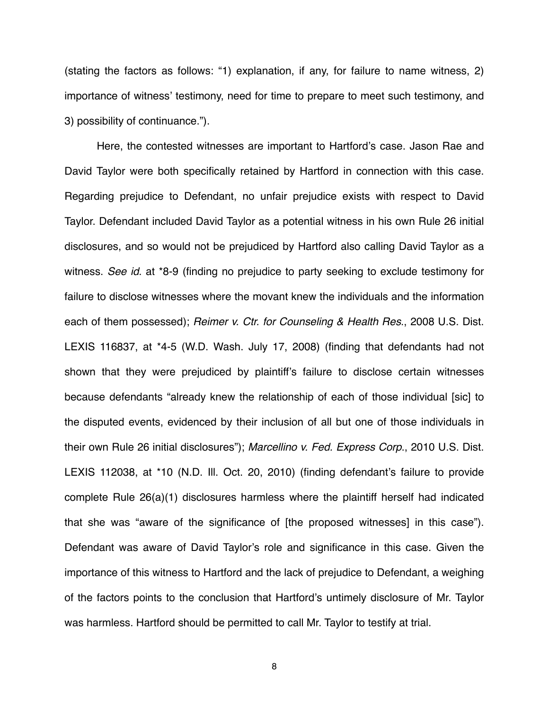(stating the factors as follows: "1) explanation, if any, for failure to name witness, 2) importance of witness' testimony, need for time to prepare to meet such testimony, and 3) possibility of continuance.").

Here, the contested witnesses are important to Hartford's case. Jason Rae and David Taylor were both specifically retained by Hartford in connection with this case. Regarding prejudice to Defendant, no unfair prejudice exists with respect to David Taylor. Defendant included David Taylor as a potential witness in his own Rule 26 initial disclosures, and so would not be prejudiced by Hartford also calling David Taylor as a witness. *See id*. at \*8-9 (finding no prejudice to party seeking to exclude testimony for failure to disclose witnesses where the movant knew the individuals and the information each of them possessed); *Reimer v. Ctr. for Counseling & Health Res*., 2008 U.S. Dist. LEXIS 116837, at \*4-5 (W.D. Wash. July 17, 2008) (finding that defendants had not shown that they were prejudiced by plaintiff's failure to disclose certain witnesses because defendants "already knew the relationship of each of those individual [sic] to the disputed events, evidenced by their inclusion of all but one of those individuals in their own Rule 26 initial disclosures"); *Marcellino v. Fed. Express Corp*., 2010 U.S. Dist. LEXIS 112038, at \*10 (N.D. Ill. Oct. 20, 2010) (finding defendant's failure to provide complete Rule 26(a)(1) disclosures harmless where the plaintiff herself had indicated that she was "aware of the significance of [the proposed witnesses] in this case"). Defendant was aware of David Taylor's role and significance in this case. Given the importance of this witness to Hartford and the lack of prejudice to Defendant, a weighing of the factors points to the conclusion that Hartford's untimely disclosure of Mr. Taylor was harmless. Hartford should be permitted to call Mr. Taylor to testify at trial.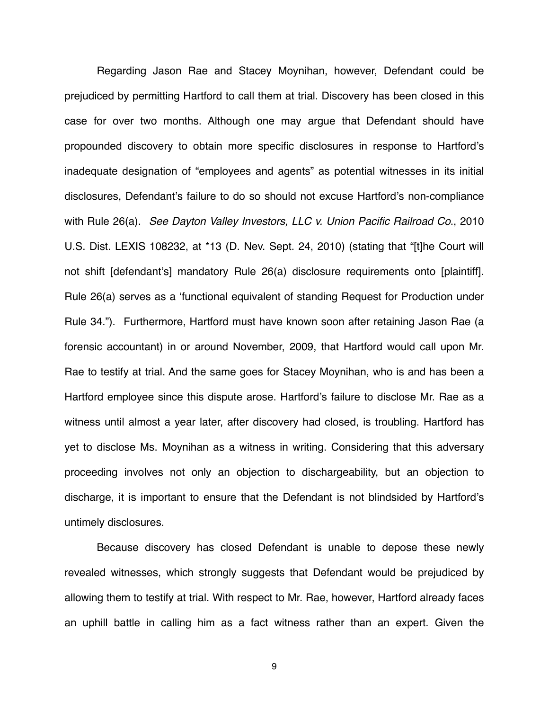Regarding Jason Rae and Stacey Moynihan, however, Defendant could be prejudiced by permitting Hartford to call them at trial. Discovery has been closed in this case for over two months. Although one may argue that Defendant should have propounded discovery to obtain more specific disclosures in response to Hartford's inadequate designation of "employees and agents" as potential witnesses in its initial disclosures, Defendant's failure to do so should not excuse Hartford's non-compliance with Rule 26(a). *See Dayton Valley Investors, LLC v. Union Pacific Railroad Co*., 2010 U.S. Dist. LEXIS 108232, at \*13 (D. Nev. Sept. 24, 2010) (stating that "[t]he Court will not shift [defendant's] mandatory Rule 26(a) disclosure requirements onto [plaintiff]. Rule 26(a) serves as a ʻfunctional equivalent of standing Request for Production under Rule 34."). Furthermore, Hartford must have known soon after retaining Jason Rae (a forensic accountant) in or around November, 2009, that Hartford would call upon Mr. Rae to testify at trial. And the same goes for Stacey Moynihan, who is and has been a Hartford employee since this dispute arose. Hartford's failure to disclose Mr. Rae as a witness until almost a year later, after discovery had closed, is troubling. Hartford has yet to disclose Ms. Moynihan as a witness in writing. Considering that this adversary proceeding involves not only an objection to dischargeability, but an objection to discharge, it is important to ensure that the Defendant is not blindsided by Hartford's untimely disclosures.

Because discovery has closed Defendant is unable to depose these newly revealed witnesses, which strongly suggests that Defendant would be prejudiced by allowing them to testify at trial. With respect to Mr. Rae, however, Hartford already faces an uphill battle in calling him as a fact witness rather than an expert. Given the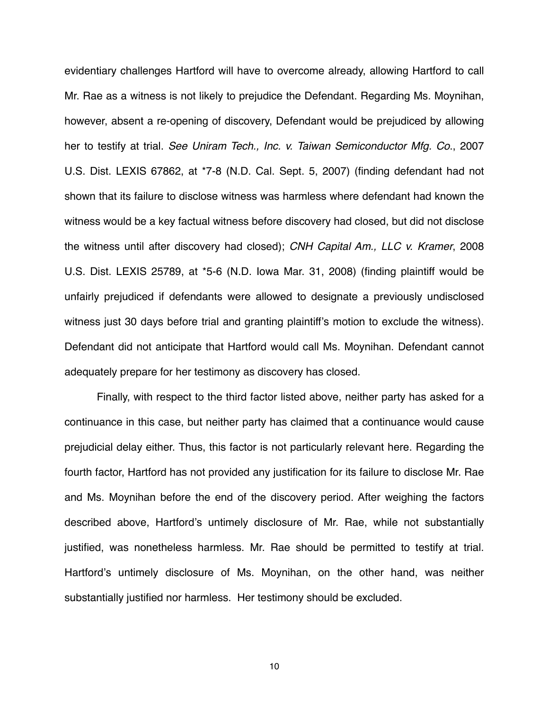evidentiary challenges Hartford will have to overcome already, allowing Hartford to call Mr. Rae as a witness is not likely to prejudice the Defendant. Regarding Ms. Moynihan, however, absent a re-opening of discovery, Defendant would be prejudiced by allowing her to testify at trial. *See Uniram Tech., Inc. v. Taiwan Semiconductor Mfg. Co*., 2007 U.S. Dist. LEXIS 67862, at \*7-8 (N.D. Cal. Sept. 5, 2007) (finding defendant had not shown that its failure to disclose witness was harmless where defendant had known the witness would be a key factual witness before discovery had closed, but did not disclose the witness until after discovery had closed); *CNH Capital Am., LLC v. Kramer*, 2008 U.S. Dist. LEXIS 25789, at \*5-6 (N.D. Iowa Mar. 31, 2008) (finding plaintiff would be unfairly prejudiced if defendants were allowed to designate a previously undisclosed witness just 30 days before trial and granting plaintiff's motion to exclude the witness). Defendant did not anticipate that Hartford would call Ms. Moynihan. Defendant cannot adequately prepare for her testimony as discovery has closed.

Finally, with respect to the third factor listed above, neither party has asked for a continuance in this case, but neither party has claimed that a continuance would cause prejudicial delay either. Thus, this factor is not particularly relevant here. Regarding the fourth factor, Hartford has not provided any justification for its failure to disclose Mr. Rae and Ms. Moynihan before the end of the discovery period. After weighing the factors described above, Hartford's untimely disclosure of Mr. Rae, while not substantially justified, was nonetheless harmless. Mr. Rae should be permitted to testify at trial. Hartford's untimely disclosure of Ms. Moynihan, on the other hand, was neither substantially justified nor harmless. Her testimony should be excluded.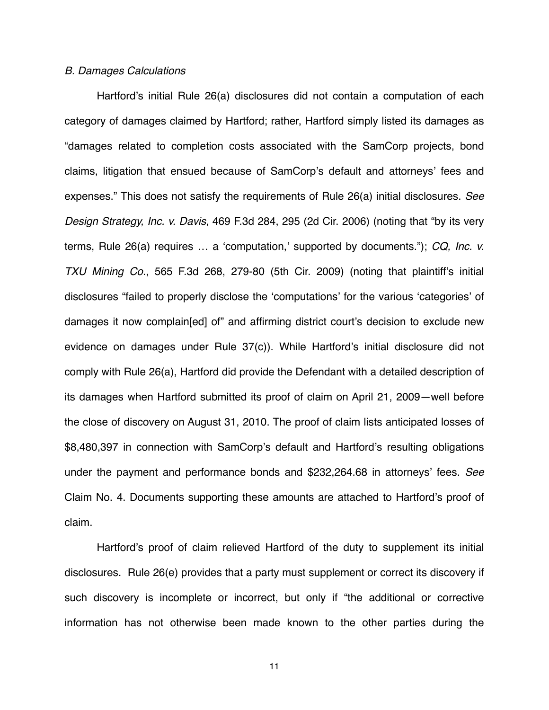#### *B. Damages Calculations*

Hartford's initial Rule 26(a) disclosures did not contain a computation of each category of damages claimed by Hartford; rather, Hartford simply listed its damages as "damages related to completion costs associated with the SamCorp projects, bond claims, litigation that ensued because of SamCorp's default and attorneys' fees and expenses." This does not satisfy the requirements of Rule 26(a) initial disclosures. *See Design Strategy, Inc. v. Davis*, 469 F.3d 284, 295 (2d Cir. 2006) (noting that "by its very terms, Rule 26(a) requires … a ʻcomputation,' supported by documents."); *CQ, Inc. v. TXU Mining Co*., 565 F.3d 268, 279-80 (5th Cir. 2009) (noting that plaintiff's initial disclosures "failed to properly disclose the ʻcomputations' for the various ʻcategories' of damages it now complain[ed] of" and affirming district court's decision to exclude new evidence on damages under Rule 37(c)). While Hartford's initial disclosure did not comply with Rule 26(a), Hartford did provide the Defendant with a detailed description of its damages when Hartford submitted its proof of claim on April 21, 2009—well before the close of discovery on August 31, 2010. The proof of claim lists anticipated losses of \$8,480,397 in connection with SamCorp's default and Hartford's resulting obligations under the payment and performance bonds and \$232,264.68 in attorneys' fees. *See* Claim No. 4. Documents supporting these amounts are attached to Hartford's proof of claim.

Hartford's proof of claim relieved Hartford of the duty to supplement its initial disclosures. Rule 26(e) provides that a party must supplement or correct its discovery if such discovery is incomplete or incorrect, but only if "the additional or corrective information has not otherwise been made known to the other parties during the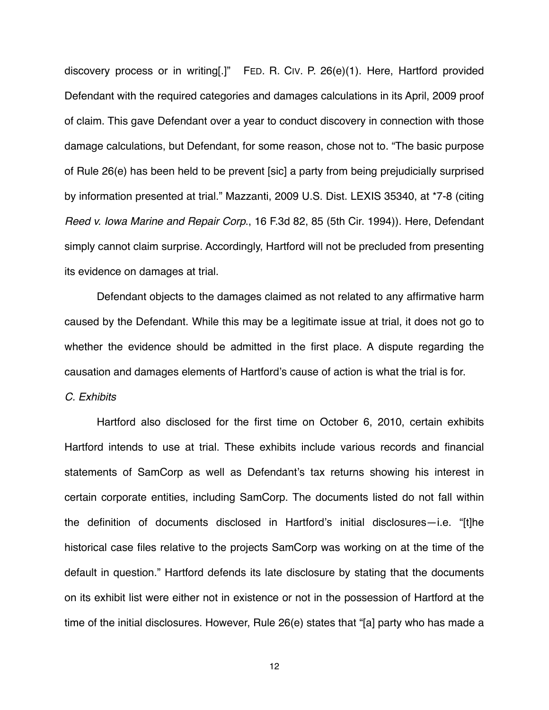discovery process or in writing[.]" FED. R. CIV. P. 26(e)(1). Here, Hartford provided Defendant with the required categories and damages calculations in its April, 2009 proof of claim. This gave Defendant over a year to conduct discovery in connection with those damage calculations, but Defendant, for some reason, chose not to. "The basic purpose of Rule 26(e) has been held to be prevent [sic] a party from being prejudicially surprised by information presented at trial." Mazzanti, 2009 U.S. Dist. LEXIS 35340, at \*7-8 (citing *Reed v. Iowa Marine and Repair Corp*., 16 F.3d 82, 85 (5th Cir. 1994)). Here, Defendant simply cannot claim surprise. Accordingly, Hartford will not be precluded from presenting its evidence on damages at trial.

Defendant objects to the damages claimed as not related to any affirmative harm caused by the Defendant. While this may be a legitimate issue at trial, it does not go to whether the evidence should be admitted in the first place. A dispute regarding the causation and damages elements of Hartford's cause of action is what the trial is for.

#### *C. Exhibits*

Hartford also disclosed for the first time on October 6, 2010, certain exhibits Hartford intends to use at trial. These exhibits include various records and financial statements of SamCorp as well as Defendant's tax returns showing his interest in certain corporate entities, including SamCorp. The documents listed do not fall within the definition of documents disclosed in Hartford's initial disclosures—i.e. "[t]he historical case files relative to the projects SamCorp was working on at the time of the default in question." Hartford defends its late disclosure by stating that the documents on its exhibit list were either not in existence or not in the possession of Hartford at the time of the initial disclosures. However, Rule 26(e) states that "[a] party who has made a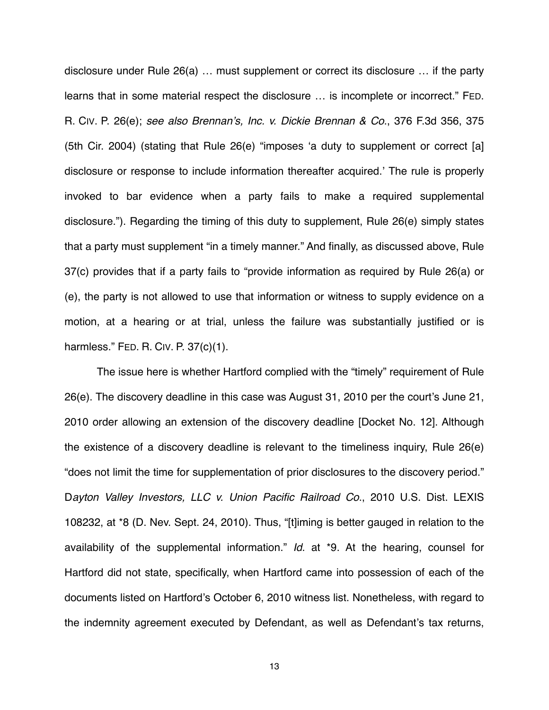disclosure under Rule 26(a) … must supplement or correct its disclosure … if the party learns that in some material respect the disclosure … is incomplete or incorrect." FED. R. CIV. P. 26(e); *see also Brennan*'*s, Inc. v. Dickie Brennan & Co*., 376 F.3d 356, 375 (5th Cir. 2004) (stating that Rule 26(e) "imposes ʻa duty to supplement or correct [a] disclosure or response to include information thereafter acquired.' The rule is properly invoked to bar evidence when a party fails to make a required supplemental disclosure."). Regarding the timing of this duty to supplement, Rule 26(e) simply states that a party must supplement "in a timely manner." And finally, as discussed above, Rule 37(c) provides that if a party fails to "provide information as required by Rule 26(a) or (e), the party is not allowed to use that information or witness to supply evidence on a motion, at a hearing or at trial, unless the failure was substantially justified or is harmless." FED. R. CIV. P. 37(c)(1).

The issue here is whether Hartford complied with the "timely" requirement of Rule 26(e). The discovery deadline in this case was August 31, 2010 per the court's June 21, 2010 order allowing an extension of the discovery deadline [Docket No. 12]. Although the existence of a discovery deadline is relevant to the timeliness inquiry, Rule 26(e) "does not limit the time for supplementation of prior disclosures to the discovery period." D*ayton Valley Investors, LLC v. Union Pacific Railroad Co*., 2010 U.S. Dist. LEXIS 108232, at \*8 (D. Nev. Sept. 24, 2010). Thus, "[t]iming is better gauged in relation to the availability of the supplemental information." *Id*. at \*9. At the hearing, counsel for Hartford did not state, specifically, when Hartford came into possession of each of the documents listed on Hartford's October 6, 2010 witness list. Nonetheless, with regard to the indemnity agreement executed by Defendant, as well as Defendant's tax returns,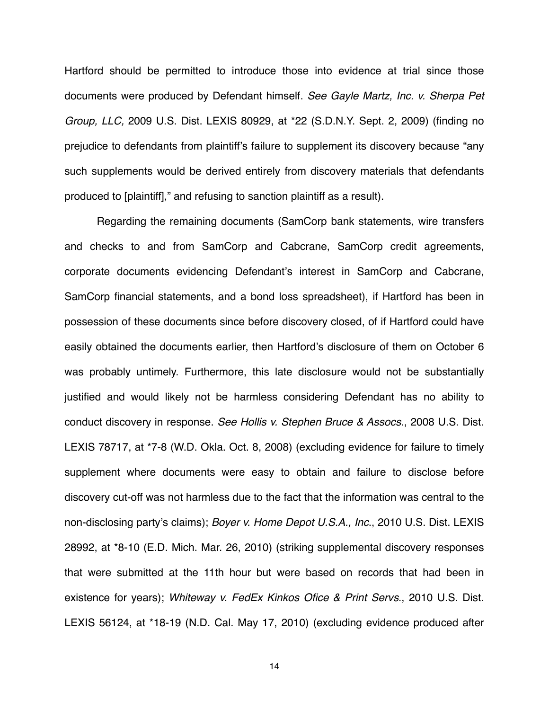Hartford should be permitted to introduce those into evidence at trial since those documents were produced by Defendant himself. *See Gayle Martz, Inc. v. Sherpa Pet Group, LLC,* 2009 U.S. Dist. LEXIS 80929, at \*22 (S.D.N.Y. Sept. 2, 2009) (finding no prejudice to defendants from plaintiff's failure to supplement its discovery because "any such supplements would be derived entirely from discovery materials that defendants produced to [plaintiff]," and refusing to sanction plaintiff as a result).

Regarding the remaining documents (SamCorp bank statements, wire transfers and checks to and from SamCorp and Cabcrane, SamCorp credit agreements, corporate documents evidencing Defendant's interest in SamCorp and Cabcrane, SamCorp financial statements, and a bond loss spreadsheet), if Hartford has been in possession of these documents since before discovery closed, of if Hartford could have easily obtained the documents earlier, then Hartford's disclosure of them on October 6 was probably untimely. Furthermore, this late disclosure would not be substantially justified and would likely not be harmless considering Defendant has no ability to conduct discovery in response. *See Hollis v. Stephen Bruce & Assocs*., 2008 U.S. Dist. LEXIS 78717, at \*7-8 (W.D. Okla. Oct. 8, 2008) (excluding evidence for failure to timely supplement where documents were easy to obtain and failure to disclose before discovery cut-off was not harmless due to the fact that the information was central to the non-disclosing party's claims); *Boyer v. Home Depot U.S.A., Inc*., 2010 U.S. Dist. LEXIS 28992, at \*8-10 (E.D. Mich. Mar. 26, 2010) (striking supplemental discovery responses that were submitted at the 11th hour but were based on records that had been in existence for years); *Whiteway v. FedEx Kinkos Ofice & Print Servs*., 2010 U.S. Dist. LEXIS 56124, at \*18-19 (N.D. Cal. May 17, 2010) (excluding evidence produced after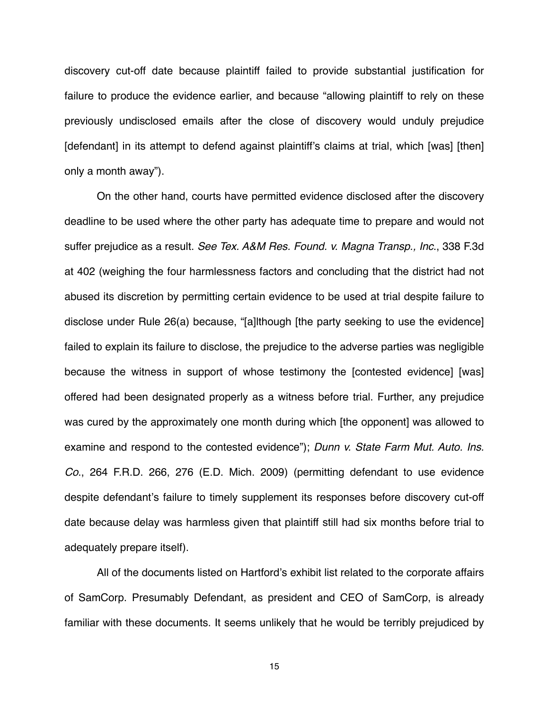discovery cut-off date because plaintiff failed to provide substantial justification for failure to produce the evidence earlier, and because "allowing plaintiff to rely on these previously undisclosed emails after the close of discovery would unduly prejudice [defendant] in its attempt to defend against plaintiff's claims at trial, which [was] [then] only a month away").

On the other hand, courts have permitted evidence disclosed after the discovery deadline to be used where the other party has adequate time to prepare and would not suffer prejudice as a result. *See Tex. A&M Res. Found. v. Magna Transp., Inc*., 338 F.3d at 402 (weighing the four harmlessness factors and concluding that the district had not abused its discretion by permitting certain evidence to be used at trial despite failure to disclose under Rule 26(a) because, "[a]lthough [the party seeking to use the evidence] failed to explain its failure to disclose, the prejudice to the adverse parties was negligible because the witness in support of whose testimony the [contested evidence] [was] offered had been designated properly as a witness before trial. Further, any prejudice was cured by the approximately one month during which [the opponent] was allowed to examine and respond to the contested evidence"); *Dunn v. State Farm Mut. Auto. Ins. Co*., 264 F.R.D. 266, 276 (E.D. Mich. 2009) (permitting defendant to use evidence despite defendant's failure to timely supplement its responses before discovery cut-off date because delay was harmless given that plaintiff still had six months before trial to adequately prepare itself).

All of the documents listed on Hartford's exhibit list related to the corporate affairs of SamCorp. Presumably Defendant, as president and CEO of SamCorp, is already familiar with these documents. It seems unlikely that he would be terribly prejudiced by